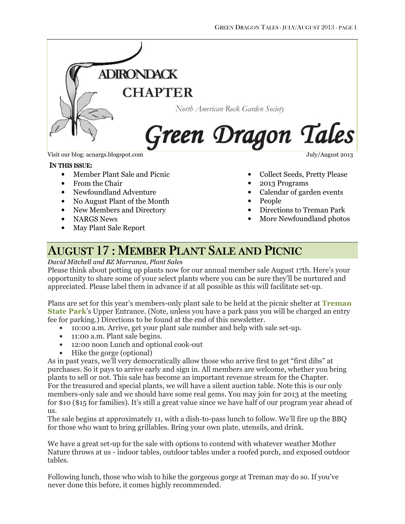

Visit our blog: acnargs.blogspot.com July/August 2013

#### IN THIS ISSUE:

- Member Plant Sale and Picnic
- From the Chair
- Newfoundland Adventure
- No August Plant of the Month
- New Members and Directory
- NARGS News
- May Plant Sale Report

- Collect Seeds, Pretty Please
	- 2013 Programs
	- Calendar of garden events
- People
- Directions to Treman Park
- More Newfoundland photos

# AUGUST 17: MEMBER PLANT SALE AND PICNIC

#### David Mitchell and BZ Marranca, Plant Sales

Please think about potting up plants now for our annual member sale August 17th. Here's your opportunity to share some of your select plants where you can be sure they'll be nurtured and appreciated. Please label them in advance if at all possible as this will facilitate set-up.

Plans are set for this year's members-only plant sale to be held at the picnic shelter at **Treman State Park's Upper Entrance. (Note, unless you have a park pass you will be charged an entry** fee for parking.) Directions to be found at the end of this newsletter.

- 10:00 a.m. Arrive, get your plant sale number and help with sale set-up.
- 11:00 a.m. Plant sale begins.
- 12:00 noon Lunch and optional cook-out
- Hike the gorge (optional)

As in past years, we'll very democratically allow those who arrive first to get "first dibs" at purchases. So it pays to arrive early and sign in. All members are welcome, whether you bring plants to sell or not. This sale has become an important revenue stream for the Chapter. For the treasured and special plants, we will have a silent auction table. Note this is our only members-only sale and we should have some real gems. You may join for 2013 at the meeting for \$10 (\$15 for families). It's still a great value since we have half of our program year ahead of us.

The sale begins at approximately 11, with a dish-to-pass lunch to follow. We'll fire up the BBQ for those who want to bring grillables. Bring your own plate, utensils, and drink.

We have a great set-up for the sale with options to contend with whatever weather Mother Nature throws at us - indoor tables, outdoor tables under a roofed porch, and exposed outdoor tables.

Following lunch, those who wish to hike the gorgeous gorge at Treman may do so. If you've never done this before, it comes highly recommended.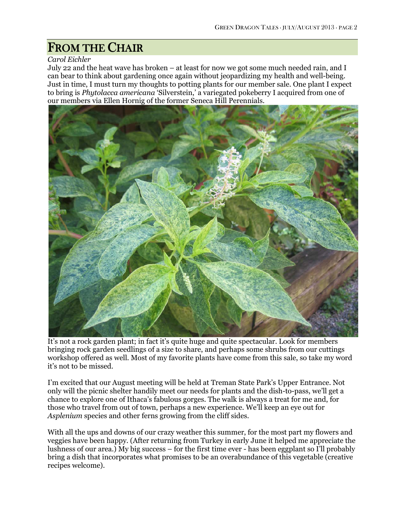# FROM THE CHAIR

#### Carol Eichler

July 22 and the heat wave has broken – at least for now we got some much needed rain, and I can bear to think about gardening once again without jeopardizing my health and well-being. Just in time, I must turn my thoughts to potting plants for our member sale. One plant I expect to bring is Phytolacca americana 'Silverstein,' a variegated pokeberry I acquired from one of our members via Ellen Hornig of the former Seneca Hill Perennials.



It's not a rock garden plant; in fact it's quite huge and quite spectacular. Look for members bringing rock garden seedlings of a size to share, and perhaps some shrubs from our cuttings workshop offered as well. Most of my favorite plants have come from this sale, so take my word it's not to be missed.

I'm excited that our August meeting will be held at Treman State Park's Upper Entrance. Not only will the picnic shelter handily meet our needs for plants and the dish-to-pass, we'll get a chance to explore one of Ithaca's fabulous gorges. The walk is always a treat for me and, for those who travel from out of town, perhaps a new experience. We'll keep an eye out for Asplenium species and other ferns growing from the cliff sides.

With all the ups and downs of our crazy weather this summer, for the most part my flowers and veggies have been happy. (After returning from Turkey in early June it helped me appreciate the lushness of our area.) My big success – for the first time ever - has been eggplant so I'll probably bring a dish that incorporates what promises to be an overabundance of this vegetable (creative recipes welcome).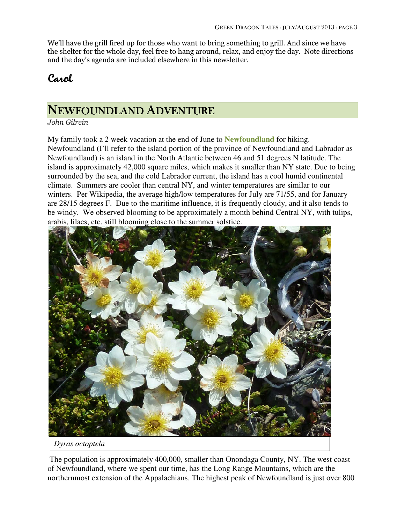We'll have the grill fired up for those who want to bring something to grill. And since we have the shelter for the whole day, feel free to hang around, relax, and enjoy the day. Note directions and the day's agenda are included elsewhere in this newsletter.

### Carol

### NEWFOUNDLAND ADVENTURE

John Gilrein

My family took a 2 week vacation at the end of June to **Newfoundland** for hiking. Newfoundland (I'll refer to the island portion of the province of Newfoundland and Labrador as Newfoundland) is an island in the North Atlantic between 46 and 51 degrees N latitude. The island is approximately 42,000 square miles, which makes it smaller than NY state. Due to being surrounded by the sea, and the cold Labrador current, the island has a cool humid continental climate. Summers are cooler than central NY, and winter temperatures are similar to our winters. Per Wikipedia, the average high/low temperatures for July are 71/55, and for January are 28/15 degrees F. Due to the maritime influence, it is frequently cloudy, and it also tends to be windy. We observed blooming to be approximately a month behind Central NY, with tulips, arabis, lilacs, etc. still blooming close to the summer solstice.



 The population is approximately 400,000, smaller than Onondaga County, NY. The west coast of Newfoundland, where we spent our time, has the Long Range Mountains, which are the northernmost extension of the Appalachians. The highest peak of Newfoundland is just over 800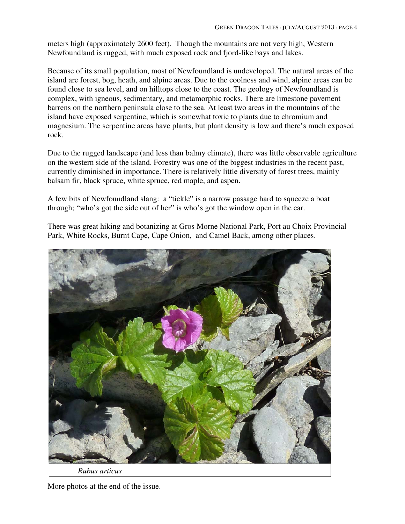meters high (approximately 2600 feet). Though the mountains are not very high, Western Newfoundland is rugged, with much exposed rock and fjord-like bays and lakes.

Because of its small population, most of Newfoundland is undeveloped. The natural areas of the island are forest, bog, heath, and alpine areas. Due to the coolness and wind, alpine areas can be found close to sea level, and on hilltops close to the coast. The geology of Newfoundland is complex, with igneous, sedimentary, and metamorphic rocks. There are limestone pavement barrens on the northern peninsula close to the sea. At least two areas in the mountains of the island have exposed serpentine, which is somewhat toxic to plants due to chromium and magnesium. The serpentine areas have plants, but plant density is low and there's much exposed rock.

Due to the rugged landscape (and less than balmy climate), there was little observable agriculture on the western side of the island. Forestry was one of the biggest industries in the recent past, currently diminished in importance. There is relatively little diversity of forest trees, mainly balsam fir, black spruce, white spruce, red maple, and aspen.

A few bits of Newfoundland slang: a "tickle" is a narrow passage hard to squeeze a boat through; "who's got the side out of her" is who's got the window open in the car.

There was great hiking and botanizing at Gros Morne National Park, Port au Choix Provincial Park, White Rocks, Burnt Cape, Cape Onion, and Camel Back, among other places.



More photos at the end of the issue.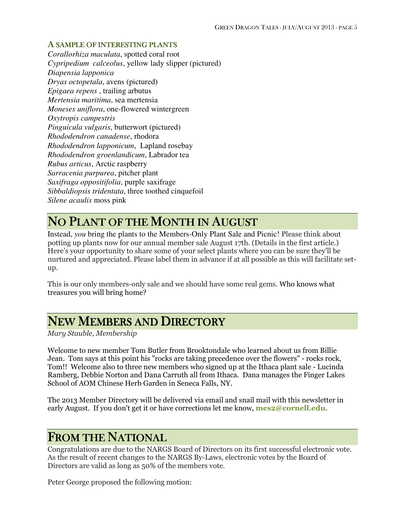#### A SAMPLE OF INTERESTING PLANTS

*Corallorhiza maculata*, spotted coral root *Cypripedium calceolus*, yellow lady slipper (pictured) *Diapensia lapponica Dryas octopetala*, avens (pictured) *Epigaea repens* , trailing arbutus *Mertensia maritima*, sea mertensia *Moneses uniflora*, one-flowered wintergreen *Oxytropis campestris Pinguicula vulgaris*, butterwort (pictured) *Rhododendron canadense*, rhodora *Rhododendron lapponicum*, Lapland rosebay *Rhododendron groenlandicum*, Labrador tea *Rubus articus*, Arctic raspberry *Sarracenia purpurea*, pitcher plant *Saxifraga oppositifolia*, purple saxifrage *Sibbaldiopsis tridentata*, three toothed cinquefoil *Silene acaulis* moss pink

### NO PLANT OF THE MONTH IN AUGUST

Instead, *you* bring the plants to the Members-Only Plant Sale and Picnic! Please think about potting up plants now for our annual member sale August 17th. (Details in the first article.) Here's your opportunity to share some of your select plants where you can be sure they'll be nurtured and appreciated. Please label them in advance if at all possible as this will facilitate setup.

This is our only members-only sale and we should have some real gems. Who knows what treasures you will bring home?

### NEW MEMBERS AND DIRECTORY

Mary Stauble, Membership

Welcome to new member Tom Butler from Brooktondale who learned about us from Billie Jean. Tom says at this point his "rocks are taking precedence over the flowers" - rocks rock, Tom!! Welcome also to three new members who signed up at the Ithaca plant sale - Lucinda Ramberg, Debbie Norton and Dana Carruth all from Ithaca. Dana manages the Finger Lakes School of AOM Chinese Herb Garden in Seneca Falls, NY.

The 2013 Member Directory will be delivered via email and snail mail with this newsletter in early August. If you don't get it or have corrections let me know, **mes2@cornell.edu.** 

### **FROM THE NATIONAL**

Congratulations are due to the NARGS Board of Directors on its first successful electronic vote. As the result of recent changes to the NARGS By-Laws, electronic votes by the Board of Directors are valid as long as 50% of the members vote.

Peter George proposed the following motion: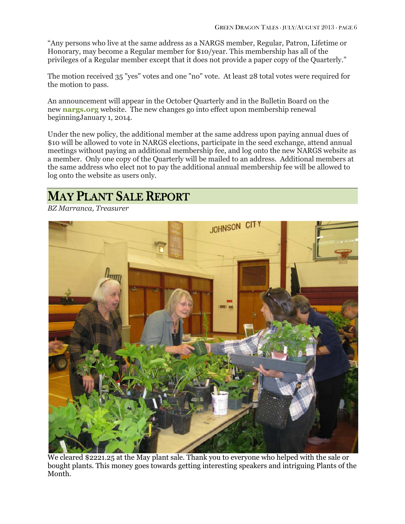"Any persons who live at the same address as a NARGS member, Regular, Patron, Lifetime or Honorary, may become a Regular member for \$10/year. This membership has all of the privileges of a Regular member except that it does not provide a paper copy of the Quarterly."

The motion received 35 "yes" votes and one "no" vote. At least 28 total votes were required for the motion to pass.

An announcement will appear in the October Quarterly and in the Bulletin Board on the new **nargs.org** website. The new changes go into effect upon membership renewal beginningJanuary 1, 2014.

Under the new policy, the additional member at the same address upon paying annual dues of \$10 will be allowed to vote in NARGS elections, participate in the seed exchange, attend annual meetings without paying an additional membership fee, and log onto the new NARGS website as a member. Only one copy of the Quarterly will be mailed to an address. Additional members at the same address who elect not to pay the additional annual membership fee will be allowed to log onto the website as users only.

### MAY PLANT SALE REPORT

BZ Marranca, Treasurer



We cleared \$2221.25 at the May plant sale. Thank you to everyone who helped with the sale or bought plants. This money goes towards getting interesting speakers and intriguing Plants of the Month.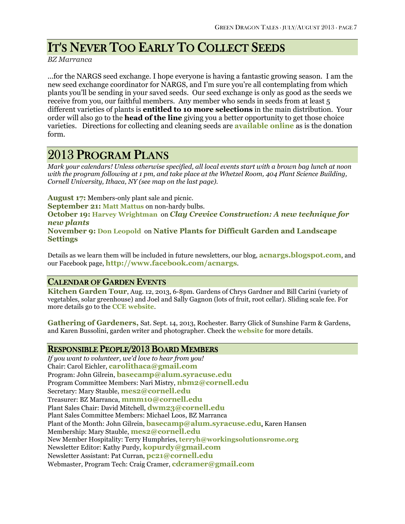# IT'S NEVER TOO EARLY TO COLLECT SEEDS

BZ Marranca

...for the NARGS seed exchange. I hope everyone is having a fantastic growing season. I am the new seed exchange coordinator for NARGS, and I'm sure you're all contemplating from which plants you'll be sending in your saved seeds. Our seed exchange is only as good as the seeds we receive from you, our faithful members. Any member who sends in seeds from at least 5 different varieties of plants is entitled to 10 more selections in the main distribution. Your order will also go to the **head of the line** giving you a better opportunity to get those choice varieties. Directions for collecting and cleaning seeds are available online as is the donation form.

### 2013 PROGRAM PLANS

Mark your calendars! Unless otherwise specified, all local events start with a brown bag lunch at noon with the program following at 1 pm, and take place at the Whetzel Room, 404 Plant Science Building, Cornell University, Ithaca, NY (see map on the last page).

August 17: Members-only plant sale and picnic. September 21: Matt Mattus on non-hardy bulbs. October 19: Harvey Wrightman on Clay Crevice Construction: A new technique for new plants November 9: Don Leopold on Native Plants for Difficult Garden and Landscape **Settings** 

Details as we learn them will be included in future newsletters, our blog, **acnargs.blogspot.com**, and our Facebook page, http://www.facebook.com/acnargs.

#### CALENDAR OF GARDEN EVENTS

Kitchen Garden Tour, Aug. 12, 2013, 6-8pm. Gardens of Chrys Gardner and Bill Carini (variety of vegetables, solar greenhouse) and Joel and Sally Gagnon (lots of fruit, root cellar). Sliding scale fee. For more details go to the CCE website.

Gathering of Gardeners, Sat. Sept. 14, 2013, Rochester. Barry Glick of Sunshine Farm & Gardens, and Karen Bussolini, garden writer and photographer. Check the website for more details.

#### RESPONSIBLE PEOPLE/2013 BOARD MEMBERS

If you want to volunteer, we'd love to hear from you! Chair: Carol Eichler, carolithaca@gmail.com Program: John Gilrein, basecamp@alum.syracuse.edu Program Committee Members: Nari Mistry, nbm2@cornell.edu Secretary: Mary Stauble, mes2@cornell.edu Treasurer: BZ Marranca, mmm10@cornell.edu Plant Sales Chair: David Mitchell, dwm23@cornell.edu Plant Sales Committee Members: Michael Loos, BZ Marranca Plant of the Month: John Gilrein, **basecamp@alum.syracuse.edu**, Karen Hansen Membership: Mary Stauble, mes2@cornell.edu New Member Hospitality: Terry Humphries, terryh@workingsolutionsrome.org Newsletter Editor: Kathy Purdy, kopurdy@gmail.com Newsletter Assistant: Pat Curran, pc21@cornell.edu Webmaster, Program Tech: Craig Cramer, cdcramer@gmail.com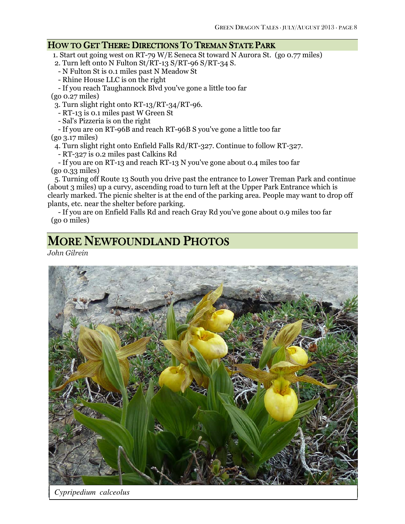#### HOW TO GET THERE: DIRECTIONS TO TREMAN STATE PARK

1. Start out going west on RT-79 W/E Seneca St toward N Aurora St. (go 0.77 miles)

- 2. Turn left onto N Fulton  $St/RT-13$  S/RT-96 S/RT-34 S.
- N Fulton St is 0.1 miles past N Meadow St
- Rhine House LLC is on the right
- If you reach Taughannock Blvd you've gone a little too far

(go 0.27 miles)

3. Turn slight right onto RT-13/RT-34/RT-96.

- RT-13 is 0.1 miles past W Green St

- Sal's Pizzeria is on the right
- If you are on RT-96B and reach RT-96B S you've gone a little too far

(go 3.17 miles)

- 4. Turn slight right onto Enfield Falls Rd/RT-327. Continue to follow RT-327.
- RT-327 is 0.2 miles past Calkins Rd

 - If you are on RT-13 and reach RT-13 N you've gone about 0.4 miles too far (go 0.33 miles)

 5. Turning off Route 13 South you drive past the entrance to Lower Treman Park and continue (about 3 miles) up a curvy, ascending road to turn left at the Upper Park Entrance which is clearly marked. The picnic shelter is at the end of the parking area. People may want to drop off plants, etc. near the shelter before parking.

 - If you are on Enfield Falls Rd and reach Gray Rd you've gone about 0.9 miles too far (go 0 miles)

## MORE NEWFOUNDLAND PHOTOS

John Gilrein



*Cypripedium calceolus*